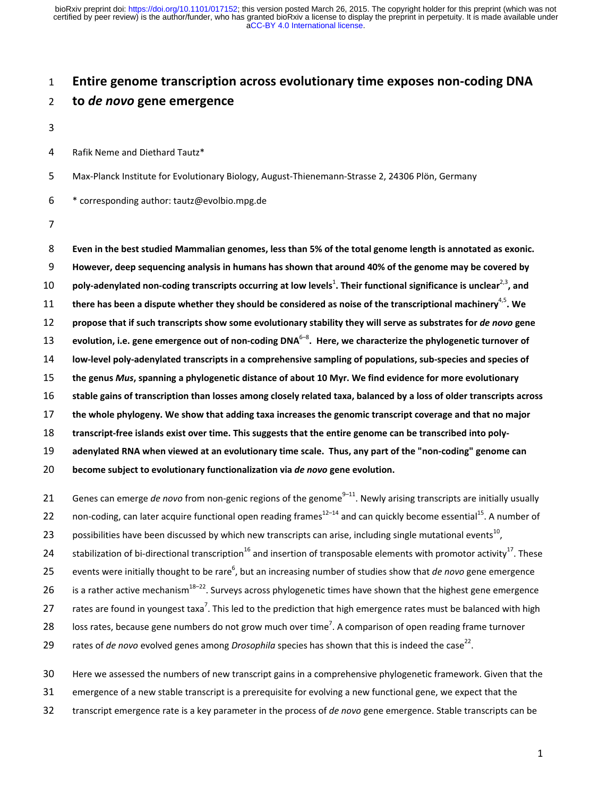# 1 **Entire genome transcription across evolutionary time exposes non-coding DNA**  2 **to** *de novo* **gene emergence**

3

4 Rafik Neme and Diethard Tautz\*

5 Max-Planck Institute for Evolutionary Biology, August-Thienemann-Strasse 2, 24306 Plön, Germany

 $6$  \* corresponding author: tautz@evolbio.mpg.de

7

**Even in the best studied Mammalian genomes, less than 5% of the total genome length is annotated as exonic. However, deep sequencing analysis in humans has shown that around 40% of the genome may be covered by poly-adenylated non-coding transcripts occurring at low levels<sup>1</sup>. Their functional significance is unclear<sup>2,3</sup>, and there has been a dispute whether they should be considered as noise of the transcriptional machinery**4,5 11 **. We propose that if such transcripts show some evolutionary stability they will serve as substrates for** *de novo* **gene evolution, i.e. gene emergence out of non-coding DNA**6–8 13 **. Here, we characterize the phylogenetic turnover of low-level poly-adenylated transcripts in a comprehensive sampling of populations, sub-species and species of the genus** *Mus***, spanning a phylogenetic distance of about 10 Myr. We find evidence for more evolutionary stable gains of transcription than losses among closely related taxa, balanced by a loss of older transcripts across the whole phylogeny. We show that adding taxa increases the genomic transcript coverage and that no major transcript-free islands exist over time. This suggests that the entire genome can be transcribed into poly-adenylated RNA when viewed at an evolutionary time scale. Thus, any part of the "non-coding" genome can become subject to evolutionary functionalization via** *de novo* **gene evolution.**  21 Genes can emerge *de novo* from non-genic regions of the genome<sup>9–11</sup>. Newly arising transcripts are initially usually 22 non-coding, can later acquire functional open reading frames<sup>12–14</sup> and can quickly become essential<sup>15</sup>. A number of

23 possibilities have been discussed by which new transcripts can arise, including single mutational events<sup>10</sup>,

24 stabilization of bi-directional transcription<sup>16</sup> and insertion of transposable elements with promotor activity<sup>17</sup>. These

25 events were initially thought to be rare<sup>6</sup>, but an increasing number of studies show that *de novo* gene emergence

26 is a rather active mechanism<sup>18–22</sup>. Surveys across phylogenetic times have shown that the highest gene emergence

27 rates are found in youngest taxa<sup>7</sup>. This led to the prediction that high emergence rates must be balanced with high

28 loss rates, because gene numbers do not grow much over time<sup>7</sup>. A comparison of open reading frame turnover

29 rates of *de novo* evolved genes among *Drosophila* species has shown that this is indeed the case<sup>22</sup>.

30 Here we assessed the numbers of new transcript gains in a comprehensive phylogenetic framework. Given that the

31 emergence of a new stable transcript is a prerequisite for evolving a new functional gene, we expect that the

32 transcript emergence rate is a key parameter in the process of *de novo* gene emergence. Stable transcripts can be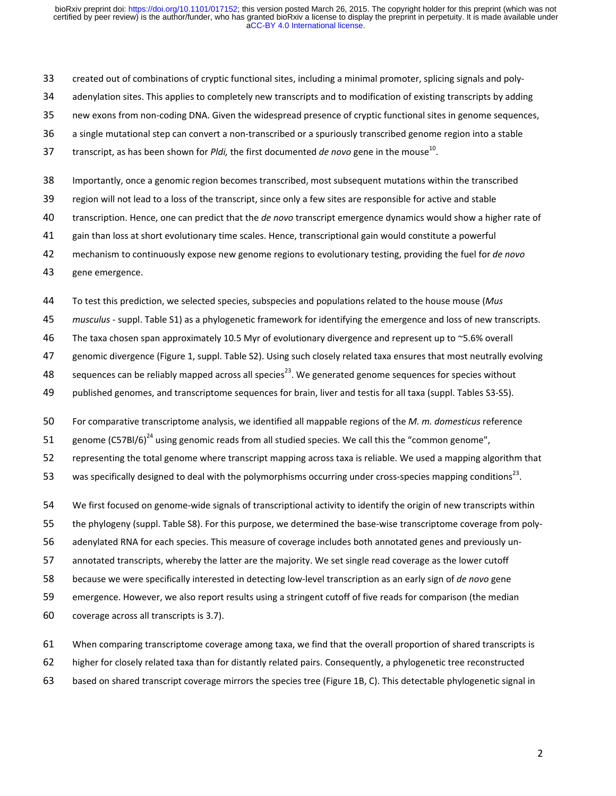- 33 created out of combinations of cryptic functional sites, including a minimal promoter, splicing signals and poly-
- 34 adenylation sites. This applies to completely new transcripts and to modification of existing transcripts by adding
- 35 new exons from non-coding DNA. Given the widespread presence of cryptic functional sites in genome sequences,
- 36 a single mutational step can convert a non-transcribed or a spuriously transcribed genome region into a stable
- 37 transcript, as has been shown for *Pldi*, the first documented *de novo* gene in the mouse<sup>10</sup>.
- 38 Importantly, once a genomic region becomes transcribed, most subsequent mutations within the transcribed
- 39 region will not lead to a loss of the transcript, since only a few sites are responsible for active and stable
- 40 transcription. Hence, one can predict that the *de novo* transcript emergence dynamics would show a higher rate of
- 41 gain than loss at short evolutionary time scales. Hence, transcriptional gain would constitute a powerful
- 42 mechanism to continuously expose new genome regions to evolutionary testing, providing the fuel for *de novo*
- 43 gene emergence.

44 To test this prediction, we selected species, subspecies and populations related to the house mouse (*Mus* 

- 45 *musculus*  suppl. Table S1) as a phylogenetic framework for identifying the emergence and loss of new transcripts.
- 46 The taxa chosen span approximately 10.5 Myr of evolutionary divergence and represent up to ~5.6% overall
- 47 genomic divergence (Figure 1, suppl. Table S2). Using such closely related taxa ensures that most neutrally evolving
- 48 sequences can be reliably mapped across all species<sup>23</sup>. We generated genome sequences for species without
- 49 published genomes, and transcriptome sequences for brain, liver and testis for all taxa (suppl. Tables S3-S5).
- 50 For comparative transcriptome analysis, we identified all mappable regions of the *M. m. domesticus* reference
- 51 genome (C57BI/6)<sup>24</sup> using genomic reads from all studied species. We call this the "common genome",
- 52 representing the total genome where transcript mapping across taxa is reliable. We used a mapping algorithm that
- 53 was specifically designed to deal with the polymorphisms occurring under cross-species mapping conditions<sup>23</sup>.
- 54 We first focused on genome-wide signals of transcriptional activity to identify the origin of new transcripts within
- 55 the phylogeny (suppl. Table S8). For this purpose, we determined the base-wise transcriptome coverage from poly-
- 56 adenylated RNA for each species. This measure of coverage includes both annotated genes and previously un-
- 57 annotated transcripts, whereby the latter are the majority. We set single read coverage as the lower cutoff
- 58 because we were specifically interested in detecting low-level transcription as an early sign of *de novo* gene
- 59 emergence. However, we also report results using a stringent cutoff of five reads for comparison (the median
- 60 coverage across all transcripts is 3.7).
- 61 When comparing transcriptome coverage among taxa, we find that the overall proportion of shared transcripts is
- 62 higher for closely related taxa than for distantly related pairs. Consequently, a phylogenetic tree reconstructed
- 63 based on shared transcript coverage mirrors the species tree (Figure 1B, C). This detectable phylogenetic signal in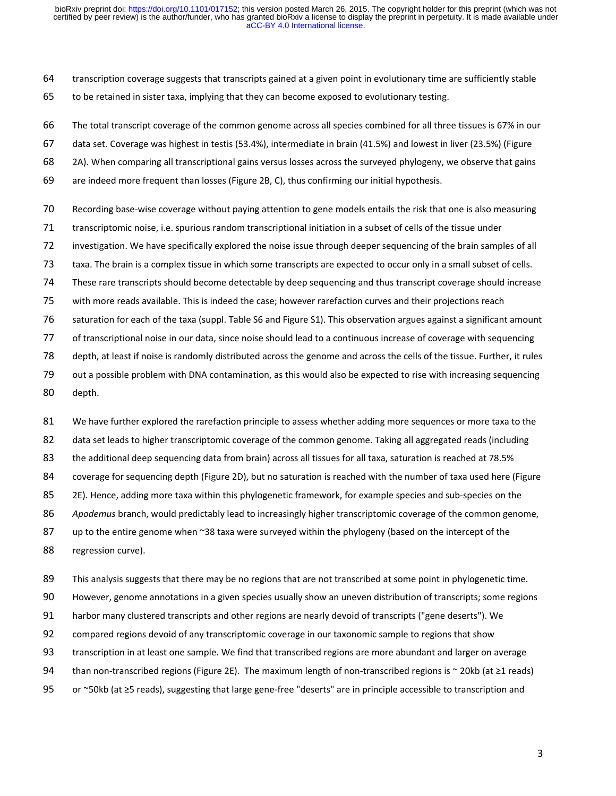64 transcription coverage suggests that transcripts gained at a given point in evolutionary time are sufficiently stable 65 to be retained in sister taxa, implying that they can become exposed to evolutionary testing.

66 The total transcript coverage of the common genome across all species combined for all three tissues is 67% in our

- 67 data set. Coverage was highest in testis (53.4%), intermediate in brain (41.5%) and lowest in liver (23.5%) (Figure
- 68 2A). When comparing all transcriptional gains versus losses across the surveyed phylogeny, we observe that gains
- 69 are indeed more frequent than losses (Figure 2B, C), thus confirming our initial hypothesis.
- 70 Recording base-wise coverage without paying attention to gene models entails the risk that one is also measuring
- 71 transcriptomic noise, i.e. spurious random transcriptional initiation in a subset of cells of the tissue under
- 72 investigation. We have specifically explored the noise issue through deeper sequencing of the brain samples of all
- 73 taxa. The brain is a complex tissue in which some transcripts are expected to occur only in a small subset of cells.
- 74 These rare transcripts should become detectable by deep sequencing and thus transcript coverage should increase
- 75 with more reads available. This is indeed the case; however rarefaction curves and their projections reach
- 76 saturation for each of the taxa (suppl. Table S6 and Figure S1). This observation argues against a significant amount
- 77 of transcriptional noise in our data, since noise should lead to a continuous increase of coverage with sequencing
- 78 depth, at least if noise is randomly distributed across the genome and across the cells of the tissue. Further, it rules
- 79 out a possible problem with DNA contamination, as this would also be expected to rise with increasing sequencing
- 80 depth.

81 We have further explored the rarefaction principle to assess whether adding more sequences or more taxa to the 82 data set leads to higher transcriptomic coverage of the common genome. Taking all aggregated reads (including 83 the additional deep sequencing data from brain) across all tissues for all taxa, saturation is reached at 78.5% 84 coverage for sequencing depth (Figure 2D), but no saturation is reached with the number of taxa used here (Figure 85 2E). Hence, adding more taxa within this phylogenetic framework, for example species and sub-species on the 86 *Apodemus* branch, would predictably lead to increasingly higher transcriptomic coverage of the common genome, 87 up to the entire genome when ~38 taxa were surveyed within the phylogeny (based on the intercept of the 88 regression curve).

89 This analysis suggests that there may be no regions that are not transcribed at some point in phylogenetic time.

90 However, genome annotations in a given species usually show an uneven distribution of transcripts; some regions

91 harbor many clustered transcripts and other regions are nearly devoid of transcripts ("gene deserts"). We

- 92 compared regions devoid of any transcriptomic coverage in our taxonomic sample to regions that show
- 93 transcription in at least one sample. We find that transcribed regions are more abundant and larger on average
- 94 than non-transcribed regions (Figure 2E). The maximum length of non-transcribed regions is ~ 20kb (at ≥1 reads)
- 95 or ~50kb (at ≥5 reads), suggesting that large gene-free "deserts" are in principle accessible to transcription and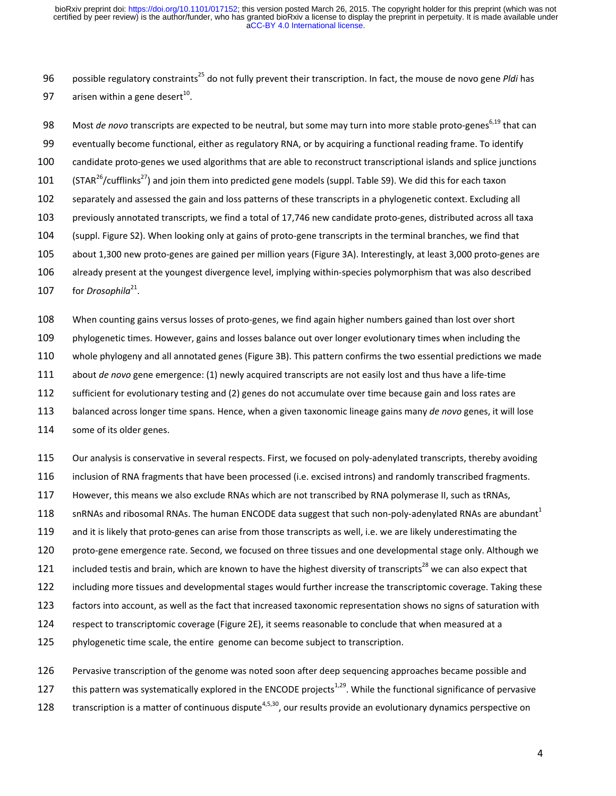96 possible regulatory constraints<sup>25</sup> do not fully prevent their transcription. In fact, the mouse de novo gene *Pldi* has 97 arisen within a gene desert<sup>10</sup>.

98 Most *de novo* transcripts are expected to be neutral, but some may turn into more stable proto-genes<sup>6,19</sup> that can 99 eventually become functional, either as regulatory RNA, or by acquiring a functional reading frame. To identify 100 candidate proto-genes we used algorithms that are able to reconstruct transcriptional islands and splice junctions 101 (STAR<sup>26</sup>/cufflinks<sup>27</sup>) and join them into predicted gene models (suppl. Table S9). We did this for each taxon 102 separately and assessed the gain and loss patterns of these transcripts in a phylogenetic context. Excluding all 103 previously annotated transcripts, we find a total of 17,746 new candidate proto-genes, distributed across all taxa 104 (suppl. Figure S2). When looking only at gains of proto-gene transcripts in the terminal branches, we find that 105 about 1,300 new proto-genes are gained per million years (Figure 3A). Interestingly, at least 3,000 proto-genes are 106 already present at the youngest divergence level, implying within-species polymorphism that was also described

107 for *Drosophila*<sup>21</sup>.

108 When counting gains versus losses of proto-genes, we find again higher numbers gained than lost over short

109 phylogenetic times. However, gains and losses balance out over longer evolutionary times when including the

110 whole phylogeny and all annotated genes (Figure 3B). This pattern confirms the two essential predictions we made

111 about *de novo* gene emergence: (1) newly acquired transcripts are not easily lost and thus have a life-time

112 sufficient for evolutionary testing and (2) genes do not accumulate over time because gain and loss rates are

113 balanced across longer time spans. Hence, when a given taxonomic lineage gains many *de novo* genes, it will lose

114 some of its older genes.

115 Our analysis is conservative in several respects. First, we focused on poly-adenylated transcripts, thereby avoiding

116 inclusion of RNA fragments that have been processed (i.e. excised introns) and randomly transcribed fragments.

117 However, this means we also exclude RNAs which are not transcribed by RNA polymerase II, such as tRNAs,

118 snRNAs and ribosomal RNAs. The human ENCODE data suggest that such non-poly-adenylated RNAs are abundant<sup>1</sup>

119 and it is likely that proto-genes can arise from those transcripts as well, i.e. we are likely underestimating the

120 proto-gene emergence rate. Second, we focused on three tissues and one developmental stage only. Although we

121 included testis and brain, which are known to have the highest diversity of transcripts<sup>28</sup> we can also expect that

122 including more tissues and developmental stages would further increase the transcriptomic coverage. Taking these

123 factors into account, as well as the fact that increased taxonomic representation shows no signs of saturation with

124 respect to transcriptomic coverage (Figure 2E), it seems reasonable to conclude that when measured at a

125 phylogenetic time scale, the entire genome can become subject to transcription.

126 Pervasive transcription of the genome was noted soon after deep sequencing approaches became possible and

127 this pattern was systematically explored in the ENCODE projects<sup>1,29</sup>. While the functional significance of pervasive

128  $\cdot$  transcription is a matter of continuous dispute<sup>4,5,30</sup>, our results provide an evolutionary dynamics perspective on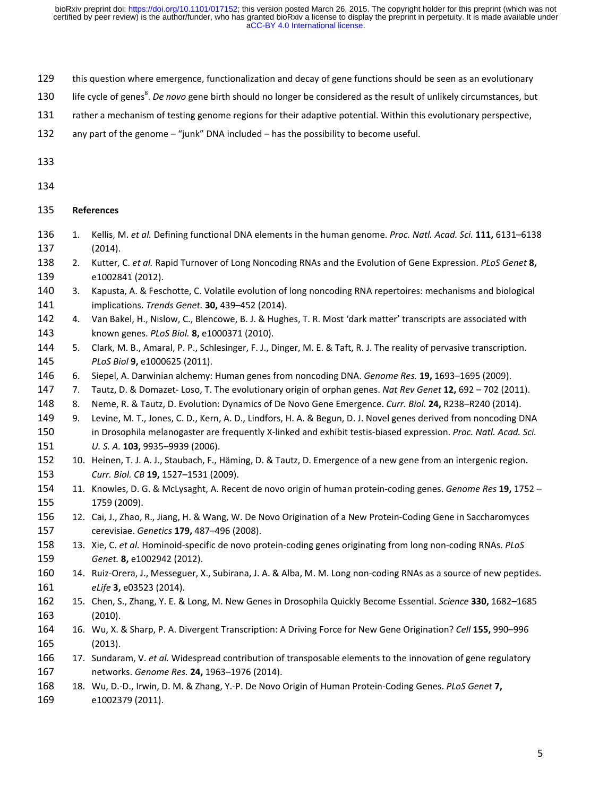- 129 this question where emergence, functionalization and decay of gene functions should be seen as an evolutionary
- 130 life cycle of genes<sup>8</sup>. De novo gene birth should no longer be considered as the result of unlikely circumstances, but
- 131 rather a mechanism of testing genome regions for their adaptive potential. Within this evolutionary perspective,
- 132 any part of the genome "junk" DNA included has the possibility to become useful.

133

- 135 **References**
- 136 1. Kellis, M. *et al.* Defining functional DNA elements in the human genome. *Proc. Natl. Acad. Sci.* **111,** 6131–6138 137 (2014).
- 138 2. Kutter, C. *et al.* Rapid Turnover of Long Noncoding RNAs and the Evolution of Gene Expression. *PLoS Genet* **8,** 139 e1002841 (2012).
- 140 3. Kapusta, A. & Feschotte, C. Volatile evolution of long noncoding RNA repertoires: mechanisms and biological 141 implications. *Trends Genet.* **30,** 439–452 (2014).
- 142 4. Van Bakel, H., Nislow, C., Blencowe, B. J. & Hughes, T. R. Most 'dark matter' transcripts are associated with 143 known genes. *PLoS Biol.* **8,** e1000371 (2010).
- 144 5. Clark, M. B., Amaral, P. P., Schlesinger, F. J., Dinger, M. E. & Taft, R. J. The reality of pervasive transcription. 145 *PLoS Biol* **9,** e1000625 (2011).
- 146 6. Siepel, A. Darwinian alchemy: Human genes from noncoding DNA. *Genome Res.* **19,** 1693–1695 (2009).
- 147 7. Tautz, D. & Domazet- Loso, T. The evolutionary origin of orphan genes. *Nat Rev Genet* **12,** 692 702 (2011).
- 148 8. Neme, R. & Tautz, D. Evolution: Dynamics of De Novo Gene Emergence. *Curr. Biol.* **24,** R238–R240 (2014).
- 149 9. Levine, M. T., Jones, C. D., Kern, A. D., Lindfors, H. A. & Begun, D. J. Novel genes derived from noncoding DNA 150 in Drosophila melanogaster are frequently X-linked and exhibit testis-biased expression. *Proc. Natl. Acad. Sci.*  151 *U. S. A.* **103,** 9935–9939 (2006).
- 152 10. Heinen, T. J. A. J., Staubach, F., Häming, D. & Tautz, D. Emergence of a new gene from an intergenic region. 153 *Curr. Biol. CB* **19,** 1527–1531 (2009).
- 154 11. Knowles, D. G. & McLysaght, A. Recent de novo origin of human protein-coding genes. *Genome Res* **19,** 1752 155 1759 (2009).
- 156 12. Cai, J., Zhao, R., Jiang, H. & Wang, W. De Novo Origination of a New Protein-Coding Gene in Saccharomyces 157 cerevisiae. *Genetics* **179,** 487–496 (2008).
- 158 13. Xie, C. *et al.* Hominoid-specific de novo protein-coding genes originating from long non-coding RNAs. *PLoS*  159 *Genet.* **8,** e1002942 (2012).
- 160 14. Ruiz-Orera, J., Messeguer, X., Subirana, J. A. & Alba, M. M. Long non-coding RNAs as a source of new peptides. 161 *eLife* **3,** e03523 (2014).
- 162 15. Chen, S., Zhang, Y. E. & Long, M. New Genes in Drosophila Quickly Become Essential. *Science* **330,** 1682–1685 163 (2010).
- 164 16. Wu, X. & Sharp, P. A. Divergent Transcription: A Driving Force for New Gene Origination? *Cell* **155,** 990–996 165 (2013).
- 166 17. Sundaram, V. *et al.* Widespread contribution of transposable elements to the innovation of gene regulatory 167 networks. *Genome Res.* **24,** 1963–1976 (2014).
- 168 18. Wu, D.-D., Irwin, D. M. & Zhang, Y.-P. De Novo Origin of Human Protein-Coding Genes. *PLoS Genet* **7,** 169 e1002379 (2011).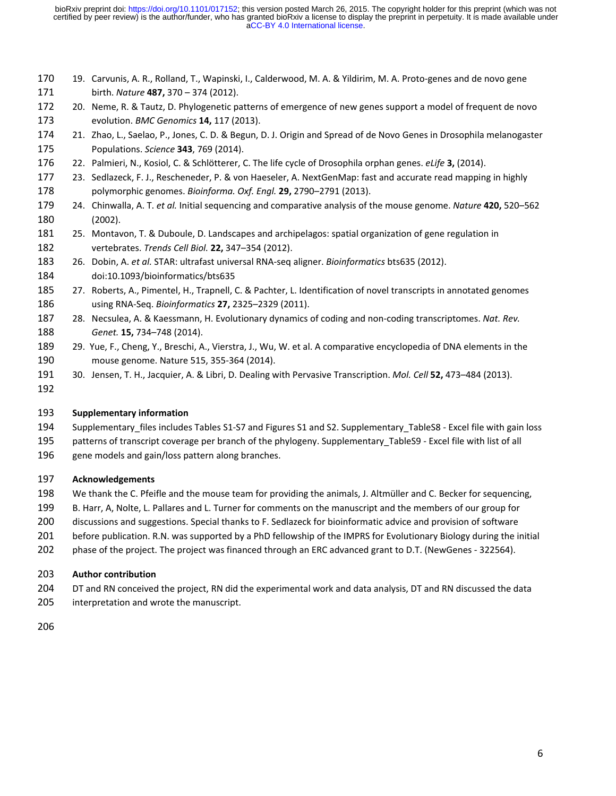- 170 19. Carvunis, A. R., Rolland, T., Wapinski, I., Calderwood, M. A. & Yildirim, M. A. Proto-genes and de novo gene 171 birth. *Nature* **487,** 370 – 374 (2012).
- 172 20. Neme, R. & Tautz, D. Phylogenetic patterns of emergence of new genes support a model of frequent de novo 173 evolution. *BMC Genomics* **14,** 117 (2013).
- 174 21. Zhao, L., Saelao, P., Jones, C. D. & Begun, D. J. Origin and Spread of de Novo Genes in Drosophila melanogaster 175 Populations. *Science* **343**, 769 (2014).
- 176 22. Palmieri, N., Kosiol, C. & Schlötterer, C. The life cycle of Drosophila orphan genes. *eLife* **3,** (2014).
- 177 23. Sedlazeck, F. J., Rescheneder, P. & von Haeseler, A. NextGenMap: fast and accurate read mapping in highly 178 polymorphic genomes. *Bioinforma. Oxf. Engl.* **29,** 2790–2791 (2013).
- 179 24. Chinwalla, A. T. *et al.* Initial sequencing and comparative analysis of the mouse genome. *Nature* **420,** 520–562 180 (2002).
- 181 25. Montavon, T. & Duboule, D. Landscapes and archipelagos: spatial organization of gene regulation in 182 vertebrates. *Trends Cell Biol.* **22,** 347–354 (2012).
- 183 26. Dobin, A. *et al.* STAR: ultrafast universal RNA-seq aligner. *Bioinformatics* bts635 (2012). 184 doi:10.1093/bioinformatics/bts635
- 185 27. Roberts, A., Pimentel, H., Trapnell, C. & Pachter, L. Identification of novel transcripts in annotated genomes 186 using RNA-Seq. *Bioinformatics* **27,** 2325–2329 (2011).
- 187 28. Necsulea, A. & Kaessmann, H. Evolutionary dynamics of coding and non-coding transcriptomes. *Nat. Rev.*  188 *Genet.* **15,** 734–748 (2014).
- 189 29. Yue, F., Cheng, Y., Breschi, A., Vierstra, J., Wu, W. et al. A comparative encyclopedia of DNA elements in the 190 mouse genome. Nature 515, 355-364 (2014).
- 191 30. Jensen, T. H., Jacquier, A. & Libri, D. Dealing with Pervasive Transcription. *Mol. Cell* **52,** 473–484 (2013).
- 192

# 193 **Supplementary information**

- 194 Supplementary files includes Tables S1-S7 and Figures S1 and S2. Supplementary TableS8 Excel file with gain loss
- 195 patterns of transcript coverage per branch of the phylogeny. Supplementary\_TableS9 Excel file with list of all
- 196 gene models and gain/loss pattern along branches.

# 197 **Acknowledgements**

- 198 We thank the C. Pfeifle and the mouse team for providing the animals, J. Altmüller and C. Becker for sequencing,
- 199 B. Harr, A, Nolte, L. Pallares and L. Turner for comments on the manuscript and the members of our group for
- 200 discussions and suggestions. Special thanks to F. Sedlazeck for bioinformatic advice and provision of software
- 201 before publication. R.N. was supported by a PhD fellowship of the IMPRS for Evolutionary Biology during the initial
- 202 phase of the project. The project was financed through an ERC advanced grant to D.T. (NewGenes 322564).

## 203 **Author contribution**

204 DT and RN conceived the project, RN did the experimental work and data analysis, DT and RN discussed the data 205 interpretation and wrote the manuscript.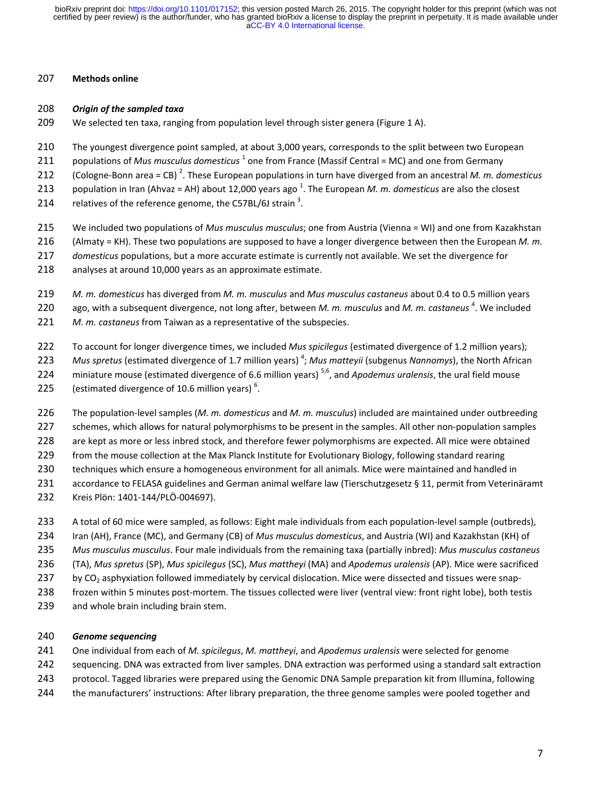## 207 **Methods online**

## 208 *Origin of the sampled taxa*

- 209 We selected ten taxa, ranging from population level through sister genera (Figure 1 A).
- 210 The youngest divergence point sampled, at about 3,000 years, corresponds to the split between two European
- 211 populations of *Mus musculus domesticus*<sup>1</sup> one from France (Massif Central = MC) and one from Germany
- (Cologne-Bonn area = CB) <sup>2</sup> 212 . These European populations in turn have diverged from an ancestral *M. m. domesticus*
- 213 population in Iran (Ahvaz = AH) about 12,000 years ago<sup>1</sup>. The European *M. m. domesticus* are also the closest
- 214 relatives of the reference genome, the C57BL/6J strain<sup>3</sup>.
- 215 We included two populations of *Mus musculus musculus*; one from Austria (Vienna = WI) and one from Kazakhstan
- 216 (Almaty = KH). These two populations are supposed to have a longer divergence between then the European *M. m.*
- 217 *domesticus* populations, but a more accurate estimate is currently not available. We set the divergence for
- 218 analyses at around 10,000 years as an approximate estimate.
- 219 *M. m. domesticus* has diverged from *M. m. musculus* and *Mus musculus castaneus* about 0.4 to 0.5 million years
- 220 ago, with a subsequent divergence, not long after, between *M. m. musculus* and *M. m. castaneus*<sup>4</sup>. We included
- 221 *M. m. castaneus* from Taiwan as a representative of the subspecies.
- 222 To account for longer divergence times, we included *Mus spicilegus* (estimated divergence of 1.2 million years);
- 223 Mus spretus (estimated divergence of 1.7 million years)<sup>4</sup>; *Mus matteyii* (subgenus *Nannomys*), the North African
- 224 miniature mouse (estimated divergence of 6.6 million years)<sup>5,6</sup>, and *Apodemus uralensis*, the ural field mouse
- 225 (estimated divergence of 10.6 million years)<sup>6</sup>.
- 226 The population-level samples (*M. m. domesticus* and *M. m. musculus*) included are maintained under outbreeding
- 227 schemes, which allows for natural polymorphisms to be present in the samples. All other non-population samples
- 228 are kept as more or less inbred stock, and therefore fewer polymorphisms are expected. All mice were obtained
- 229 from the mouse collection at the Max Planck Institute for Evolutionary Biology, following standard rearing
- 230 techniques which ensure a homogeneous environment for all animals. Mice were maintained and handled in
- 231 accordance to FELASA guidelines and German animal welfare law (Tierschutzgesetz § 11, permit from Veterinäramt
- 232 Kreis Plön: 1401-144/PLÖ-004697).
- 233 A total of 60 mice were sampled, as follows: Eight male individuals from each population-level sample (outbreds),
- 234 Iran (AH), France (MC), and Germany (CB) of *Mus musculus domesticus*, and Austria (WI) and Kazakhstan (KH) of
- 235 *Mus musculus musculus*. Four male individuals from the remaining taxa (partially inbred): *Mus musculus castaneus*
- 236 (TA), *Mus spretus* (SP), *Mus spicilegus* (SC), *Mus mattheyi* (MA) and *Apodemus uralensis* (AP). Mice were sacrificed
- 237 by CO<sub>2</sub> asphyxiation followed immediately by cervical dislocation. Mice were dissected and tissues were snap-
- 238 frozen within 5 minutes post-mortem. The tissues collected were liver (ventral view: front right lobe), both testis
- 239 and whole brain including brain stem.

# 240 *Genome sequencing*

- 241 One individual from each of *M. spicilegus*, *M. mattheyi*, and *Apodemus uralensis* were selected for genome
- 242 sequencing. DNA was extracted from liver samples. DNA extraction was performed using a standard salt extraction
- 243 protocol. Tagged libraries were prepared using the Genomic DNA Sample preparation kit from Illumina, following
- 244 the manufacturers' instructions: After library preparation, the three genome samples were pooled together and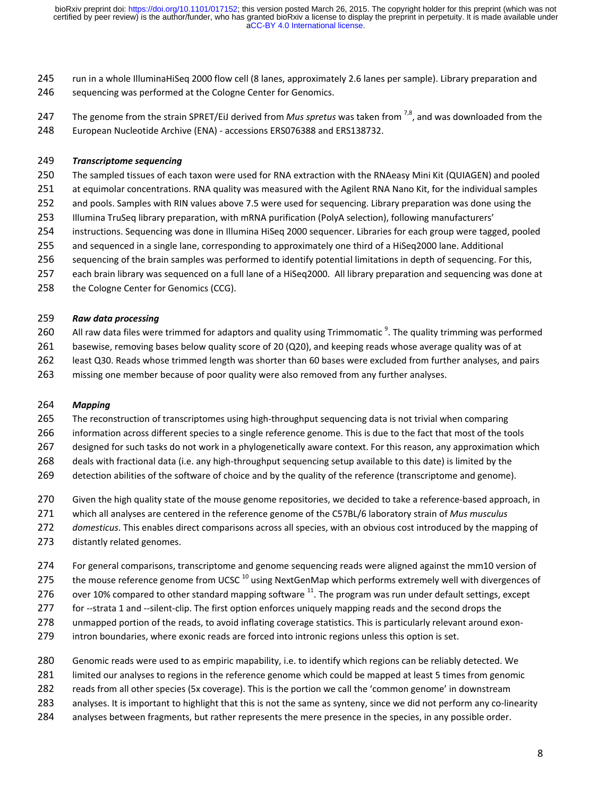245 run in a whole IlluminaHiSeq 2000 flow cell (8 lanes, approximately 2.6 lanes per sample). Library preparation and 246 sequencing was performed at the Cologne Center for Genomics.

247 The genome from the strain SPRET/EiJ derived from *Mus spretus* was taken from <sup>7,8</sup>, and was downloaded from the 248 European Nucleotide Archive (ENA) - accessions ERS076388 and ERS138732.

#### 249 *Transcriptome sequencing*

- 250 The sampled tissues of each taxon were used for RNA extraction with the RNAeasy Mini Kit (QUIAGEN) and pooled
- 251 at equimolar concentrations. RNA quality was measured with the Agilent RNA Nano Kit, for the individual samples
- 252 and pools. Samples with RIN values above 7.5 were used for sequencing. Library preparation was done using the
- 253 Illumina TruSeq library preparation, with mRNA purification (PolyA selection), following manufacturers'
- 254 instructions. Sequencing was done in Illumina HiSeq 2000 sequencer. Libraries for each group were tagged, pooled
- 255 and sequenced in a single lane, corresponding to approximately one third of a HiSeq2000 lane. Additional
- 256 sequencing of the brain samples was performed to identify potential limitations in depth of sequencing. For this,
- 257 each brain library was sequenced on a full lane of a HiSeq2000. All library preparation and sequencing was done at
- 258 the Cologne Center for Genomics (CCG).

#### 259 *Raw data processing*

- 260 All raw data files were trimmed for adaptors and quality using Trimmomatic  $\frac{9}{2}$ . The quality trimming was performed
- 261 basewise, removing bases below quality score of 20 (Q20), and keeping reads whose average quality was of at
- 262 least Q30. Reads whose trimmed length was shorter than 60 bases were excluded from further analyses, and pairs
- 263 missing one member because of poor quality were also removed from any further analyses.

## 264 *Mapping*

- 265 The reconstruction of transcriptomes using high-throughput sequencing data is not trivial when comparing
- 266 information across different species to a single reference genome. This is due to the fact that most of the tools
- 267 designed for such tasks do not work in a phylogenetically aware context. For this reason, any approximation which
- 268 deals with fractional data (i.e. any high-throughput sequencing setup available to this date) is limited by the
- 269 detection abilities of the software of choice and by the quality of the reference (transcriptome and genome).
- 270 Given the high quality state of the mouse genome repositories, we decided to take a reference-based approach, in
- 271 which all analyses are centered in the reference genome of the C57BL/6 laboratory strain of *Mus musculus*
- 272 *domesticus*. This enables direct comparisons across all species, with an obvious cost introduced by the mapping of
- 273 distantly related genomes.
- 274 For general comparisons, transcriptome and genome sequencing reads were aligned against the mm10 version of
- 275 the mouse reference genome from UCSC  $^{10}$  using NextGenMap which performs extremely well with divergences of
- 276 over 10% compared to other standard mapping software  $^{11}$ . The program was run under default settings, except
- 277 for --strata 1 and --silent-clip. The first option enforces uniquely mapping reads and the second drops the
- 278 unmapped portion of the reads, to avoid inflating coverage statistics. This is particularly relevant around exon-
- 279 intron boundaries, where exonic reads are forced into intronic regions unless this option is set.
- 280 Genomic reads were used to as empiric mapability, i.e. to identify which regions can be reliably detected. We
- 281 limited our analyses to regions in the reference genome which could be mapped at least 5 times from genomic
- 282 reads from all other species (5x coverage). This is the portion we call the 'common genome' in downstream
- 283 analyses. It is important to highlight that this is not the same as synteny, since we did not perform any co-linearity
- 284 analyses between fragments, but rather represents the mere presence in the species, in any possible order.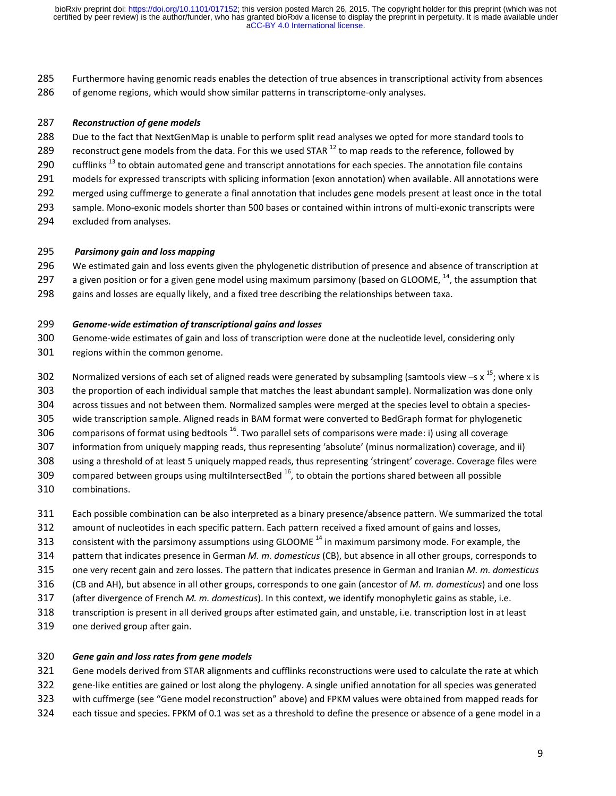285 Furthermore having genomic reads enables the detection of true absences in transcriptional activity from absences 286 of genome regions, which would show similar patterns in transcriptome-only analyses.

#### 287 *Reconstruction of gene models*

- 288 Due to the fact that NextGenMap is unable to perform split read analyses we opted for more standard tools to
- 289 reconstruct gene models from the data. For this we used STAR  $^{12}$  to map reads to the reference, followed by
- 290 cufflinks<sup>13</sup> to obtain automated gene and transcript annotations for each species. The annotation file contains
- 291 models for expressed transcripts with splicing information (exon annotation) when available. All annotations were
- 292 merged using cuffmerge to generate a final annotation that includes gene models present at least once in the total
- 293 sample. Mono-exonic models shorter than 500 bases or contained within introns of multi-exonic transcripts were
- 294 excluded from analyses.

#### 295 *Parsimony gain and loss mapping*

296 We estimated gain and loss events given the phylogenetic distribution of presence and absence of transcription at

- 297 a given position or for a given gene model using maximum parsimony (based on GLOOME,  $^{14}$ , the assumption that
- 298 gains and losses are equally likely, and a fixed tree describing the relationships between taxa.

### 299 *Genome-wide estimation of transcriptional gains and losses*

- 300 Genome-wide estimates of gain and loss of transcription were done at the nucleotide level, considering only
- 301 regions within the common genome.
- 302 Normalized versions of each set of aligned reads were generated by subsampling (samtools view –s x<sup>15</sup>; where x is
- 303 the proportion of each individual sample that matches the least abundant sample). Normalization was done only
- 304 across tissues and not between them. Normalized samples were merged at the species level to obtain a species-
- 305 wide transcription sample. Aligned reads in BAM format were converted to BedGraph format for phylogenetic
- 306 comparisons of format using bedtools  $^{16}$ . Two parallel sets of comparisons were made: i) using all coverage
- 307 information from uniquely mapping reads, thus representing 'absolute' (minus normalization) coverage, and ii)
- 308 using a threshold of at least 5 uniquely mapped reads, thus representing 'stringent' coverage. Coverage files were
- 309 compared between groups using multiIntersectBed  $^{16}$ , to obtain the portions shared between all possible
- 310 combinations.
- 311 Each possible combination can be also interpreted as a binary presence/absence pattern. We summarized the total
- 312 amount of nucleotides in each specific pattern. Each pattern received a fixed amount of gains and losses,
- 313 consistent with the parsimony assumptions using GLOOME<sup>14</sup> in maximum parsimony mode. For example, the
- 314 pattern that indicates presence in German *M. m. domesticus* (CB), but absence in all other groups, corresponds to
- 315 one very recent gain and zero losses. The pattern that indicates presence in German and Iranian *M. m. domesticus*
- 316 (CB and AH), but absence in all other groups, corresponds to one gain (ancestor of *M. m. domesticus*) and one loss
- 317 (after divergence of French *M. m. domesticus*). In this context, we identify monophyletic gains as stable, i.e.
- 318 transcription is present in all derived groups after estimated gain, and unstable, i.e. transcription lost in at least
- 319 one derived group after gain.

## 320 *Gene gain and loss rates from gene models*

- 321 Gene models derived from STAR alignments and cufflinks reconstructions were used to calculate the rate at which
- 322 gene-like entities are gained or lost along the phylogeny. A single unified annotation for all species was generated
- 323 with cuffmerge (see "Gene model reconstruction" above) and FPKM values were obtained from mapped reads for
- 324 each tissue and species. FPKM of 0.1 was set as a threshold to define the presence or absence of a gene model in a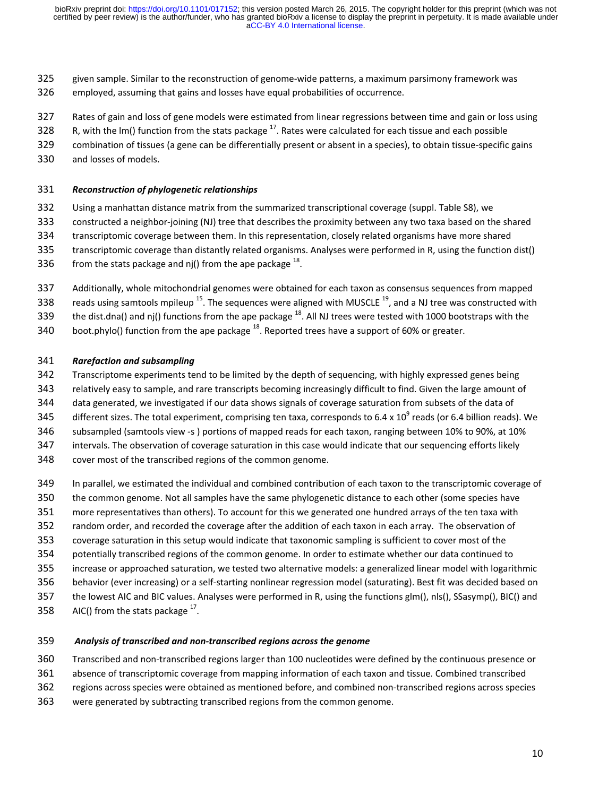- 325 given sample. Similar to the reconstruction of genome-wide patterns, a maximum parsimony framework was
- 326 employed, assuming that gains and losses have equal probabilities of occurrence.
- 327 Rates of gain and loss of gene models were estimated from linear regressions between time and gain or loss using
- 328  $\ldots$  R, with the Im() function from the stats package  $^{17}$ . Rates were calculated for each tissue and each possible
- 329 combination of tissues (a gene can be differentially present or absent in a species), to obtain tissue-specific gains
- 330 and losses of models.

# 331 *Reconstruction of phylogenetic relationships*

- 332 Using a manhattan distance matrix from the summarized transcriptional coverage (suppl. Table S8), we
- 333 constructed a neighbor-joining (NJ) tree that describes the proximity between any two taxa based on the shared
- 334 transcriptomic coverage between them. In this representation, closely related organisms have more shared 335 transcriptomic coverage than distantly related organisms. Analyses were performed in R, using the function dist()
- 
- 336 from the stats package and nj() from the ape package  $^{18}$ .
- 337 Additionally, whole mitochondrial genomes were obtained for each taxon as consensus sequences from mapped
- 338 reads using samtools mpileup  $^{15}$ . The sequences were aligned with MUSCLE  $^{19}$ , and a NJ tree was constructed with
- 339 the dist.dna() and nj() functions from the ape package  $^{18}$ . All NJ trees were tested with 1000 bootstraps with the
- 340 boot.phylo() function from the ape package  $^{18}$ . Reported trees have a support of 60% or greater.

# 341 *Rarefaction and subsampling*

- 342 Transcriptome experiments tend to be limited by the depth of sequencing, with highly expressed genes being
- 343 relatively easy to sample, and rare transcripts becoming increasingly difficult to find. Given the large amount of
- 344 data generated, we investigated if our data shows signals of coverage saturation from subsets of the data of
- 345 different sizes. The total experiment, comprising ten taxa, corresponds to 6.4 x 10<sup>9</sup> reads (or 6.4 billion reads). We
- 346 subsampled (samtools view -s ) portions of mapped reads for each taxon, ranging between 10% to 90%, at 10%
- 347 intervals. The observation of coverage saturation in this case would indicate that our sequencing efforts likely
- 348 cover most of the transcribed regions of the common genome.
- 349 In parallel, we estimated the individual and combined contribution of each taxon to the transcriptomic coverage of
- 350 the common genome. Not all samples have the same phylogenetic distance to each other (some species have
- 351 more representatives than others). To account for this we generated one hundred arrays of the ten taxa with
- 352 random order, and recorded the coverage after the addition of each taxon in each array. The observation of
- 353 coverage saturation in this setup would indicate that taxonomic sampling is sufficient to cover most of the
- 354 potentially transcribed regions of the common genome. In order to estimate whether our data continued to
- 355 increase or approached saturation, we tested two alternative models: a generalized linear model with logarithmic
- 356 behavior (ever increasing) or a self-starting nonlinear regression model (saturating). Best fit was decided based on
- 357 the lowest AIC and BIC values. Analyses were performed in R, using the functions glm(), nls(), SSasymp(), BIC() and
- 358  $\blacksquare$  AIC() from the stats package  $^{17}$ .

# 359 *Analysis of transcribed and non-transcribed regions across the genome*

- 360 Transcribed and non-transcribed regions larger than 100 nucleotides were defined by the continuous presence or
- 361 absence of transcriptomic coverage from mapping information of each taxon and tissue. Combined transcribed
- 362 regions across species were obtained as mentioned before, and combined non-transcribed regions across species
- 363 were generated by subtracting transcribed regions from the common genome.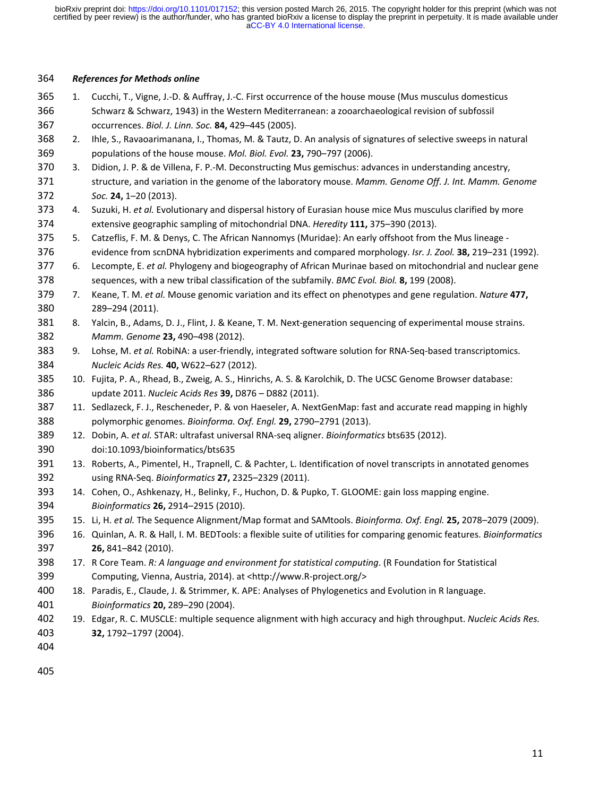#### 364 *References for Methods online*

- 365 1. Cucchi, T., Vigne, J.-D. & Auffray, J.-C. First occurrence of the house mouse (Mus musculus domesticus 366 Schwarz & Schwarz, 1943) in the Western Mediterranean: a zooarchaeological revision of subfossil 367 occurrences. *Biol. J. Linn. Soc.* **84,** 429–445 (2005).
- 368 2. Ihle, S., Ravaoarimanana, I., Thomas, M. & Tautz, D. An analysis of signatures of selective sweeps in natural 369 populations of the house mouse. *Mol. Biol. Evol.* **23,** 790–797 (2006).
- 370 3. Didion, J. P. & de Villena, F. P.-M. Deconstructing Mus gemischus: advances in understanding ancestry, 371 structure, and variation in the genome of the laboratory mouse. *Mamm. Genome Off. J. Int. Mamm. Genome*  372 *Soc.* **24,** 1–20 (2013).
- 373 4. Suzuki, H. *et al.* Evolutionary and dispersal history of Eurasian house mice Mus musculus clarified by more 374 extensive geographic sampling of mitochondrial DNA. *Heredity* **111,** 375–390 (2013).
- 375 5. Catzeflis, F. M. & Denys, C. The African Nannomys (Muridae): An early offshoot from the Mus lineage 376 evidence from scnDNA hybridization experiments and compared morphology. *Isr. J. Zool.* **38,** 219–231 (1992).
- 377 6. Lecompte, E. *et al.* Phylogeny and biogeography of African Murinae based on mitochondrial and nuclear gene 378 sequences, with a new tribal classification of the subfamily. *BMC Evol. Biol.* **8,** 199 (2008).
- 379 7. Keane, T. M. *et al.* Mouse genomic variation and its effect on phenotypes and gene regulation. *Nature* **477,** 380 289–294 (2011).
- 381 8. Yalcin, B., Adams, D. J., Flint, J. & Keane, T. M. Next-generation sequencing of experimental mouse strains. 382 *Mamm. Genome* **23,** 490–498 (2012).
- 383 9. Lohse, M. *et al.* RobiNA: a user-friendly, integrated software solution for RNA-Seq-based transcriptomics. 384 *Nucleic Acids Res.* **40,** W622–627 (2012).
- 385 10. Fujita, P. A., Rhead, B., Zweig, A. S., Hinrichs, A. S. & Karolchik, D. The UCSC Genome Browser database: 386 update 2011. *Nucleic Acids Res* **39,** D876 – D882 (2011).
- 387 11. Sedlazeck, F. J., Rescheneder, P. & von Haeseler, A. NextGenMap: fast and accurate read mapping in highly 388 polymorphic genomes. *Bioinforma. Oxf. Engl.* **29,** 2790–2791 (2013).
- 389 12. Dobin, A. *et al.* STAR: ultrafast universal RNA-seq aligner. *Bioinformatics* bts635 (2012). 390 doi:10.1093/bioinformatics/bts635
- 391 13. Roberts, A., Pimentel, H., Trapnell, C. & Pachter, L. Identification of novel transcripts in annotated genomes 392 using RNA-Seq. *Bioinformatics* **27,** 2325–2329 (2011).
- 393 14. Cohen, O., Ashkenazy, H., Belinky, F., Huchon, D. & Pupko, T. GLOOME: gain loss mapping engine. 394 *Bioinformatics* **26,** 2914–2915 (2010).
- 395 15. Li, H. *et al.* The Sequence Alignment/Map format and SAMtools. *Bioinforma. Oxf. Engl.* **25,** 2078–2079 (2009).
- 396 16. Quinlan, A. R. & Hall, I. M. BEDTools: a flexible suite of utilities for comparing genomic features. *Bioinformatics* 397 **26,** 841–842 (2010).
- 398 17. R Core Team. *R: A language and environment for statistical computing*. (R Foundation for Statistical 399 Computing, Vienna, Austria, 2014). at <http://www.R-project.org/>
- 400 18. Paradis, E., Claude, J. & Strimmer, K. APE: Analyses of Phylogenetics and Evolution in R language. 401 *Bioinformatics* **20,** 289–290 (2004).
- 402 19. Edgar, R. C. MUSCLE: multiple sequence alignment with high accuracy and high throughput. *Nucleic Acids Res.* 403 **32,** 1792–1797 (2004).
- 404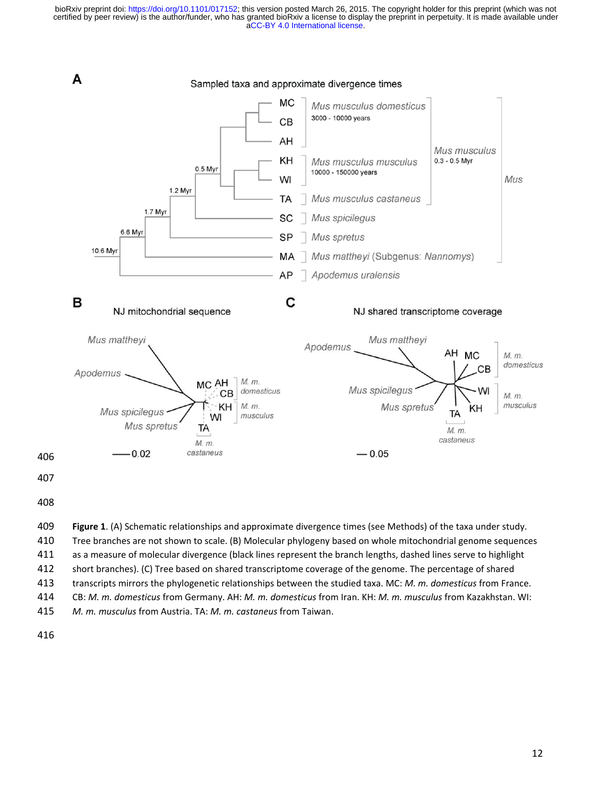

411 as a measure of molecular divergence (black lines represent the branch lengths, dashed lines serve to highlight 412 short branches). (C) Tree based on shared transcriptome coverage of the genome. The percentage of shared 413 transcripts mirrors the phylogenetic relationships between the studied taxa. MC: *M. m. domesticus* from France.

414 CB: *M. m. domesticus* from Germany. AH: *M. m. domesticus* from Iran. KH: *M. m. musculus* from Kazakhstan. WI:

415 *M. m. musculus* from Austria. TA: *M. m. castaneus* from Taiwan.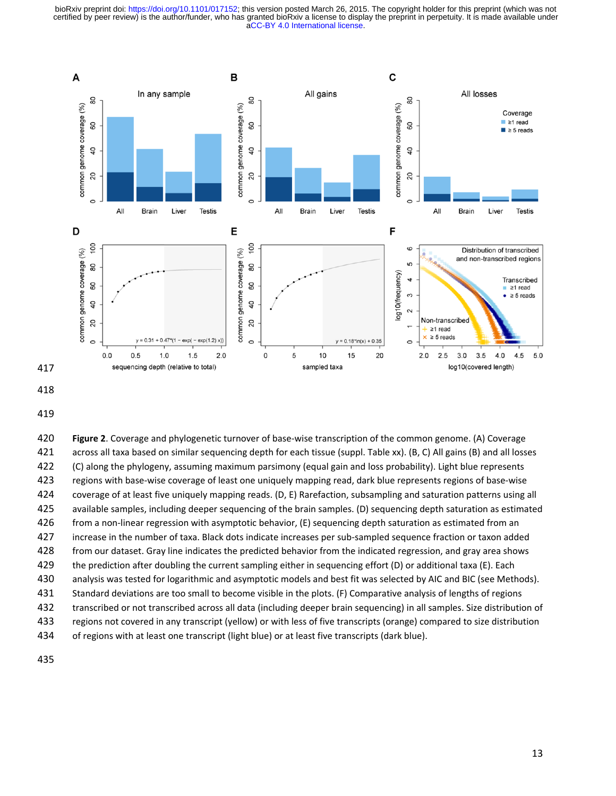



419

420 **Figure 2**. Coverage and phylogenetic turnover of base-wise transcription of the common genome. (A) Coverage 421 across all taxa based on similar sequencing depth for each tissue (suppl. Table xx). (B, C) All gains (B) and all losses 422 (C) along the phylogeny, assuming maximum parsimony (equal gain and loss probability). Light blue represents 423 regions with base-wise coverage of least one uniquely mapping read, dark blue represents regions of base-wise 424 coverage of at least five uniquely mapping reads. (D, E) Rarefaction, subsampling and saturation patterns using all 425 available samples, including deeper sequencing of the brain samples. (D) sequencing depth saturation as estimated 426 from a non-linear regression with asymptotic behavior, (E) sequencing depth saturation as estimated from an 427 increase in the number of taxa. Black dots indicate increases per sub-sampled sequence fraction or taxon added 428 from our dataset. Gray line indicates the predicted behavior from the indicated regression, and gray area shows 429 the prediction after doubling the current sampling either in sequencing effort (D) or additional taxa (E). Each 430 analysis was tested for logarithmic and asymptotic models and best fit was selected by AIC and BIC (see Methods). 431 Standard deviations are too small to become visible in the plots. (F) Comparative analysis of lengths of regions 432 transcribed or not transcribed across all data (including deeper brain sequencing) in all samples. Size distribution of 433 regions not covered in any transcript (yellow) or with less of five transcripts (orange) compared to size distribution 434 of regions with at least one transcript (light blue) or at least five transcripts (dark blue).